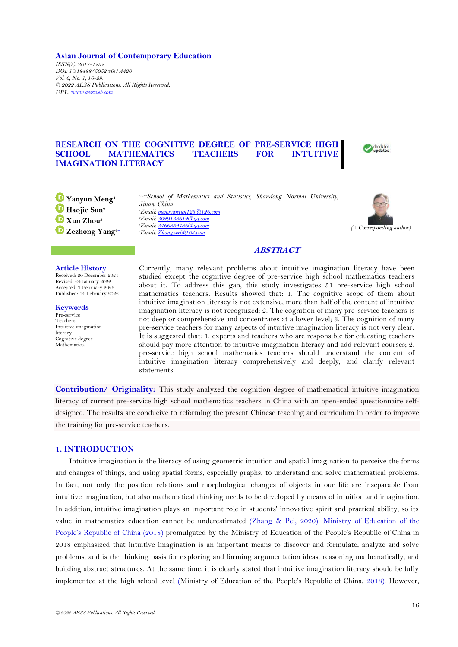**Asian Journal of Contemporary Education** *ISSN(e): 2617-1252 DOI: 10.18488/5052.v6i1.4420 Vol. 6, No. 1, 16-29. © 2022 AESS Publications. All Rights Reserved. URL: [www.aessweb.com](http://www.aessweb.com/)*

# **RESEARCH ON THE COGNITIVE DEGREE OF PRE-SERVICE HIGH SCHOOL MATHEMATICS TEACHERS FOR INTUITIVE IMAGINATION LITERACY**



**Yanyun Meng<sup>1</sup> Haojie Sun<sup>2</sup> Xun Zhou<sup>3</sup> Zezhong Yang4+**

**Article History**

Received: 20 December 2021 Revised: 24 January 2022 Accepted: 7 February 2022 Published: 14 February 2022

**Keywords** Pre-service Teachers Intuitive imagination literacy Cognitive degree **Mathematics** 

*1,2,3,4School of Mathematics and Statistics, Shandong Normal University, Jinan, China. Email[: mengyanyun123@126.com](mailto:mengyanyun123@126.com) Email[: 3029138612@qq.com](mailto:3029138612@qq.com) Email[: 3466852486@qq.com](mailto:3466852486@qq.com) Email[: Zhongzee@163.com](mailto:Zhongzee@163.com)*



# **ABSTRACT**

Currently, many relevant problems about intuitive imagination literacy have been studied except the cognitive degree of pre-service high school mathematics teachers about it. To address this gap, this study investigates 51 pre-service high school mathematics teachers. Results showed that: 1. The cognitive scope of them about intuitive imagination literacy is not extensive, more than half of the content of intuitive imagination literacy is not recognized; 2. The cognition of many pre-service teachers is not deep or comprehensive and concentrates at a lower level; 3. The cognition of many pre-service teachers for many aspects of intuitive imagination literacy is not very clear. It is suggested that: 1. experts and teachers who are responsible for educating teachers should pay more attention to intuitive imagination literacy and add relevant courses; 2. pre-service high school mathematics teachers should understand the content of intuitive imagination literacy comprehensively and deeply, and clarify relevant statements.

**Contribution/ Originality:** This study analyzed the cognition degree of mathematical intuitive imagination literacy of current pre-service high school mathematics teachers in China with an open-ended questionnaire selfdesigned. The results are conducive to reforming the present Chinese teaching and curriculum in order to improve the training for pre-service teachers.

# **1. INTRODUCTION**

Intuitive imagination is the literacy of using geometric intuition and spatial imagination to perceive the forms and changes of things, and using spatial forms, especially graphs, to understand and solve mathematical problems. In fact, not only the position relations and morphological changes of objects in our life are inseparable from intuitive imagination, but also mathematical thinking needs to be developed by means of intuition and imagination. In addition, intuitive imagination plays an important role in students' innovative spirit and practical ability, so its value in mathematics education cannot be underestimated [\(Zhang & Pei, 2020\)](#page-13-0). [Ministry of Education of the](#page-12-0)  [People's Republic of China \(2018](#page-12-0)) promulgated by the Ministry of Education of the People's Republic of China in 2018 emphasized that intuitive imagination is an important means to discover and formulate, analyze and solve problems, and is the thinking basis for exploring and forming argumentation ideas, reasoning mathematically, and building abstract structures. At the same time, it is clearly stated that intuitive imagination literacy should be fully implemented at the high school level ([Ministry of Education of the People's Republic of China,](#page-12-0) 2018). However,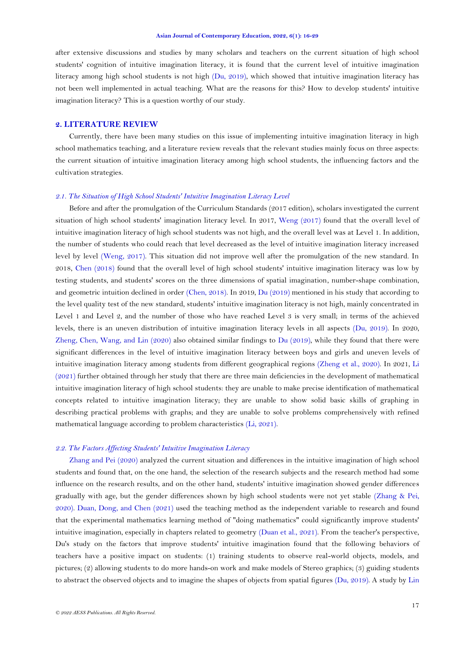after extensive discussions and studies by many scholars and teachers on the current situation of high school students' cognition of intuitive imagination literacy, it is found that the current level of intuitive imagination literacy among high school students is not high [\(Du, 2019\)](#page-12-1), which showed that intuitive imagination literacy has not been well implemented in actual teaching. What are the reasons for this? How to develop students' intuitive imagination literacy? This is a question worthy of our study.

### **2. LITERATURE REVIEW**

Currently, there have been many studies on this issue of implementing intuitive imagination literacy in high school mathematics teaching, and a literature review reveals that the relevant studies mainly focus on three aspects: the current situation of intuitive imagination literacy among high school students, the influencing factors and the cultivation strategies.

# *2.1. The Situation of High School Students' Intuitive Imagination Literacy Level*

Before and after the promulgation of the Curriculum Standards (2017 edition), scholars investigated the current situation of high school students' imagination literacy level. In 2017, [Weng \(2017\)](#page-13-1) found that the overall level of intuitive imagination literacy of high school students was not high, and the overall level was at Level 1. In addition, the number of students who could reach that level decreased as the level of intuitive imagination literacy increased level by level [\(Weng, 2017\)](#page-13-1). This situation did not improve well after the promulgation of the new standard. In 2018, [Chen \(2018\)](#page-12-2) found that the overall level of high school students' intuitive imagination literacy was low by testing students, and students' scores on the three dimensions of spatial imagination, number-shape combination, and geometric intuition declined in order [\(Chen, 2018\)](#page-12-2). In 2019, Du [\(2019\)](#page-12-1) mentioned in his study that according to the level quality test of the new standard, students' intuitive imagination literacy is not high, mainly concentrated in Level 1 and Level 2, and the number of those who have reached Level 3 is very small; in terms of the achieved levels, there is an uneven distribution of intuitive imagination literacy levels in all aspects [\(Du, 2019\)](#page-12-1). In 2020, [Zheng, Chen, Wang, and Lin \(2020\)](#page-13-2) also obtained similar findings to [Du \(2019\)](#page-12-1), while they found that there were significant differences in the level of intuitive imagination literacy between boys and girls and uneven levels of intuitive imagination literacy among students from different geographical regions [\(Zheng et al., 2020\)](#page-13-2). In 2021, [Li](#page-12-3)  [\(2021\)](#page-12-3) further obtained through her study that there are three main deficiencies in the development of mathematical intuitive imagination literacy of high school students: they are unable to make precise identification of mathematical concepts related to intuitive imagination literacy; they are unable to show solid basic skills of graphing in describing practical problems with graphs; and they are unable to solve problems comprehensively with refined mathematical language according to problem characteristics [\(Li, 2021\)](#page-12-3).

## *2.2. The Factors Affecting Students' Intuitive Imagination Literacy*

[Zhang and Pei \(2020\)](#page-13-0) analyzed the current situation and differences in the intuitive imagination of high school students and found that, on the one hand, the selection of the research subjects and the research method had some influence on the research results, and on the other hand, students' intuitive imagination showed gender differences gradually with age, but the gender differences shown by high school students were not yet stable [\(Zhang & Pei,](#page-13-0)  [2020\)](#page-13-0). [Duan, Dong, and Chen \(2021\)](#page-12-4) used the teaching method as the independent variable to research and found that the experimental mathematics learning method of "doing mathematics" could significantly improve students' intuitive imagination, especially in chapters related to geometry [\(Duan et al., 2021\)](#page-12-4). From the teacher's perspective, Du's study on the factors that improve students' intuitive imagination found that the following behaviors of teachers have a positive impact on students: (1) training students to observe real-world objects, models, and pictures; (2) allowing students to do more hands-on work and make models of Stereo graphics; (3) guiding students to abstract the observed objects and to imagine the shapes of objects from spatial figures [\(Du, 2019\)](#page-12-1). A study by [Lin](#page-12-5)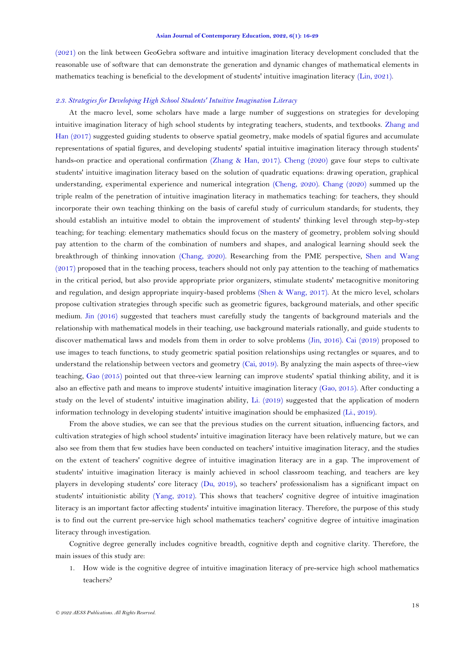[\(2021\)](#page-12-5) on the link between GeoGebra software and intuitive imagination literacy development concluded that the reasonable use of software that can demonstrate the generation and dynamic changes of mathematical elements in mathematics teaching is beneficial to the development of students' intuitive imagination literacy [\(Lin, 2021\)](#page-12-5).

# *2.3. Strategies for Developing High School Students' Intuitive Imagination Literacy*

At the macro level, some scholars have made a large number of suggestions on strategies for developing intuitive imagination literacy of high school students by integrating teachers, students, and textbooks. [Zhang and](#page-13-3)  [Han \(2017\)](#page-13-3) suggested guiding students to observe spatial geometry, make models of spatial figures and accumulate representations of spatial figures, and developing students' spatial intuitive imagination literacy through students' hands-on practice and operational confirmation [\(Zhang & Han, 2017\)](#page-13-3). [Cheng \(2020\)](#page-12-6) gave four steps to cultivate students' intuitive imagination literacy based on the solution of quadratic equations: drawing operation, graphical understanding, experimental experience and numerical integration [\(Cheng, 2020\)](#page-12-6). [Chang \(2020\)](#page-12-7) summed up the triple realm of the penetration of intuitive imagination literacy in mathematics teaching: for teachers, they should incorporate their own teaching thinking on the basis of careful study of curriculum standards; for students, they should establish an intuitive model to obtain the improvement of students' thinking level through step-by-step teaching; for teaching: elementary mathematics should focus on the mastery of geometry, problem solving should pay attention to the charm of the combination of numbers and shapes, and analogical learning should seek the breakthrough of thinking innovation [\(Chang, 2020\)](#page-12-7). Researching from the PME perspective, [Shen and Wang](#page-12-8)   $(2017)$  proposed that in the teaching process, teachers should not only pay attention to the teaching of mathematics in the critical period, but also provide appropriate prior organizers, stimulate students' metacognitive monitoring and regulation, and design appropriate inquiry-based problems (Shen & [Wang, 2017\)](#page-12-8). At the micro level, scholars propose cultivation strategies through specific such as geometric figures, background materials, and other specific medium. [Jin \(2016\)](#page-12-9) suggested that teachers must carefully study the tangents of background materials and the relationship with mathematical models in their teaching, use background materials rationally, and guide students to discover mathematical laws and models from them in order to solve problems [\(Jin, 2016\)](#page-12-9). [Cai \(2019\)](#page-12-10) proposed to use images to teach functions, to study geometric spatial position relationships using rectangles or squares, and to understand the relationship between vectors and geometry [\(Cai, 2019\)](#page-12-10). By analyzing the main aspects of three-view teaching, [Gao \(2015\)](#page-12-11) pointed out that three-view learning can improve students' spatial thinking ability, and it is also an effective path and means to improve students' intuitive imagination literacy [\(Gao, 2015\)](#page-12-11). After conducting a study on the level of students' intuitive imagination ability, [Li. \(2019\)](#page-12-12) suggested that the application of modern information technology in developing students' intuitive imagination should be emphasized [\(Li., 2019\)](#page-12-12).

From the above studies, we can see that the previous studies on the current situation, influencing factors, and cultivation strategies of high school students' intuitive imagination literacy have been relatively mature, but we can also see from them that few studies have been conducted on teachers' intuitive imagination literacy, and the studies on the extent of teachers' cognitive degree of intuitive imagination literacy are in a gap. The improvement of students' intuitive imagination literacy is mainly achieved in school classroom teaching, and teachers are key players in developing students' core literacy [\(Du, 2019\)](#page-12-1), so teachers' professionalism has a significant impact on students' intuitionistic ability [\(Yang, 2012\)](#page-13-4). This shows that teachers' cognitive degree of intuitive imagination literacy is an important factor affecting students' intuitive imagination literacy. Therefore, the purpose of this study is to find out the current pre-service high school mathematics teachers' cognitive degree of intuitive imagination literacy through investigation.

Cognitive degree generally includes cognitive breadth, cognitive depth and cognitive clarity. Therefore, the main issues of this study are:

1. How wide is the cognitive degree of intuitive imagination literacy of pre-service high school mathematics teachers?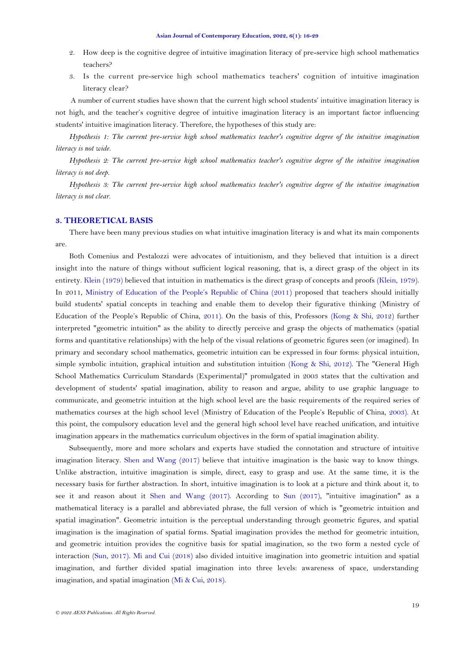- 2. How deep is the cognitive degree of intuitive imagination literacy of pre-service high school mathematics teachers?
- 3. Is the current pre-service high school mathematics teachers' cognition of intuitive imagination literacy clear?

A number of current studies have shown that the current high school students' intuitive imagination literacy is not high, and the teacher's cognitive degree of intuitive imagination literacy is an important factor influencing students' intuitive imagination literacy. Therefore, the hypotheses of this study are:

*Hypothesis 1: The current pre-service high school mathematics teacher's cognitive degree of the intuitive imagination literacy is not wide.*

*Hypothesis 2: The current pre-service high school mathematics teacher's cognitive degree of the intuitive imagination literacy is not deep.*

*Hypothesis 3: The current pre-service high school mathematics teacher's cognitive degree of the intuitive imagination literacy is not clear*.

# **3. THEORETICAL BASIS**

There have been many previous studies on what intuitive imagination literacy is and what its main components are.

Both Comenius and Pestalozzi were advocates of intuitionism, and they believed that intuition is a direct insight into the nature of things without sufficient logical reasoning, that is, a direct grasp of the object in its entirety. [Klein \(1979\)](#page-12-13) believed that intuition in mathematics is the direct grasp of concepts and proofs [\(Klein, 1979\)](#page-12-13). In 2011, [Ministry of Education of the People's Republic of China \(2011](#page-12-14)) proposed that teachers should initially build students' spatial concepts in teaching and enable them to develop their figurative thinking [\(Ministry of](#page-12-14)  [Education of the People's Republic of Ch](#page-12-14)ina, 2011). On the basis of this, Professors [\(Kong & Shi, 2012\)](#page-12-15) further interpreted "geometric intuition" as the ability to directly perceive and grasp the objects of mathematics (spatial forms and quantitative relationships) with the help of the visual relations of geometric figures seen (or imagined). In primary and secondary school mathematics, geometric intuition can be expressed in four forms: physical intuition, simple symbolic intuition, graphical intuition and substitution intuition [\(Kong & Shi, 2012\)](#page-12-15). The "General High School Mathematics Curriculum Standards (Experimental)" promulgated in 2003 states that the cultivation and development of students' spatial imagination, ability to reason and argue, ability to use graphic language to communicate, and geometric intuition at the high school level are the basic requirements of the required series of mathematics courses at the high school level ([Ministry of Education of the People's Republic of China,](#page-12-16) 2003). At this point, the compulsory education level and the general high school level have reached unification, and intuitive imagination appears in the mathematics curriculum objectives in the form of spatial imagination ability.

Subsequently, more and more scholars and experts have studied the connotation and structure of intuitive imagination literacy. [Shen and Wang \(2017\)](#page-12-8) believe that intuitive imagination is the basic way to know things. Unlike abstraction, intuitive imagination is simple, direct, easy to grasp and use. At the same time, it is the necessary basis for further abstraction. In short, intuitive imagination is to look at a picture and think about it, to see it and reason about it [Shen and Wang \(2017\)](#page-12-8). According to [Sun \(2017\)](#page-12-17), "intuitive imagination" as a mathematical literacy is a parallel and abbreviated phrase, the full version of which is "geometric intuition and spatial imagination". Geometric intuition is the perceptual understanding through geometric figures, and spatial imagination is the imagination of spatial forms. Spatial imagination provides the method for geometric intuition, and geometric intuition provides the cognitive basis for spatial imagination, so the two form a nested cycle of interaction [\(Sun, 2017\)](#page-12-17). [Mi and Cui \(2018\)](#page-12-18) also divided intuitive imagination into geometric intuition and spatial imagination, and further divided spatial imagination into three levels: awareness of space, understanding imagination, and spatial imagination [\(Mi & Cui, 2018\)](#page-12-18).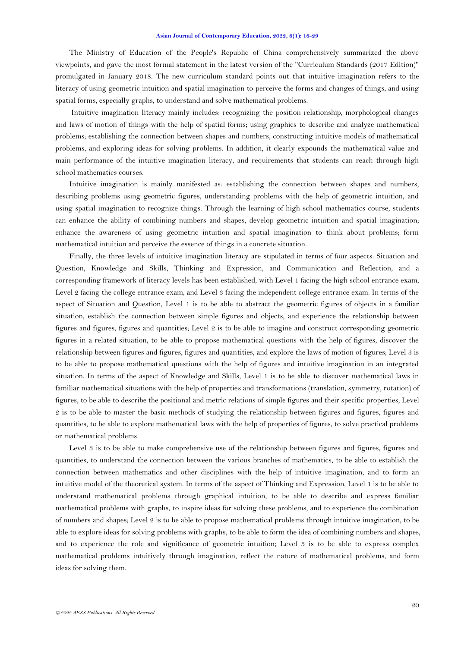The Ministry of Education of the People's Republic of China comprehensively summarized the above viewpoints, and gave the most formal statement in the latest version of the "Curriculum Standards (2017 Edition)" promulgated in January 2018. The new curriculum standard points out that intuitive imagination refers to the literacy of using geometric intuition and spatial imagination to perceive the forms and changes of things, and using spatial forms, especially graphs, to understand and solve mathematical problems.

Intuitive imagination literacy mainly includes: recognizing the position relationship, morphological changes and laws of motion of things with the help of spatial forms; using graphics to describe and analyze mathematical problems; establishing the connection between shapes and numbers, constructing intuitive models of mathematical problems, and exploring ideas for solving problems. In addition, it clearly expounds the mathematical value and main performance of the intuitive imagination literacy, and requirements that students can reach through high school mathematics courses.

Intuitive imagination is mainly manifested as: establishing the connection between shapes and numbers, describing problems using geometric figures, understanding problems with the help of geometric intuition, and using spatial imagination to recognize things. Through the learning of high school mathematics course, students can enhance the ability of combining numbers and shapes, develop geometric intuition and spatial imagination; enhance the awareness of using geometric intuition and spatial imagination to think about problems; form mathematical intuition and perceive the essence of things in a concrete situation.

Finally, the three levels of intuitive imagination literacy are stipulated in terms of four aspects: Situation and Question, Knowledge and Skills, Thinking and Expression, and Communication and Reflection, and a corresponding framework of literacy levels has been established, with Level 1 facing the high school entrance exam, Level 2 facing the college entrance exam, and Level 3 facing the independent college entrance exam. In terms of the aspect of Situation and Question, Level 1 is to be able to abstract the geometric figures of objects in a familiar situation, establish the connection between simple figures and objects, and experience the relationship between figures and figures, figures and quantities; Level 2 is to be able to imagine and construct corresponding geometric figures in a related situation, to be able to propose mathematical questions with the help of figures, discover the relationship between figures and figures, figures and quantities, and explore the laws of motion of figures; Level 3 is to be able to propose mathematical questions with the help of figures and intuitive imagination in an integrated situation. In terms of the aspect of Knowledge and Skills, Level 1 is to be able to discover mathematical laws in familiar mathematical situations with the help of properties and transformations (translation, symmetry, rotation) of figures, to be able to describe the positional and metric relations of simple figures and their specific properties; Level 2 is to be able to master the basic methods of studying the relationship between figures and figures, figures and quantities, to be able to explore mathematical laws with the help of properties of figures, to solve practical problems or mathematical problems.

Level 3 is to be able to make comprehensive use of the relationship between figures and figures, figures and quantities, to understand the connection between the various branches of mathematics, to be able to establish the connection between mathematics and other disciplines with the help of intuitive imagination, and to form an intuitive model of the theoretical system. In terms of the aspect of Thinking and Expression, Level 1 is to be able to understand mathematical problems through graphical intuition, to be able to describe and express familiar mathematical problems with graphs, to inspire ideas for solving these problems, and to experience the combination of numbers and shapes; Level 2 is to be able to propose mathematical problems through intuitive imagination, to be able to explore ideas for solving problems with graphs, to be able to form the idea of combining numbers and shapes, and to experience the role and significance of geometric intuition; Level 3 is to be able to express complex mathematical problems intuitively through imagination, reflect the nature of mathematical problems, and form ideas for solving them.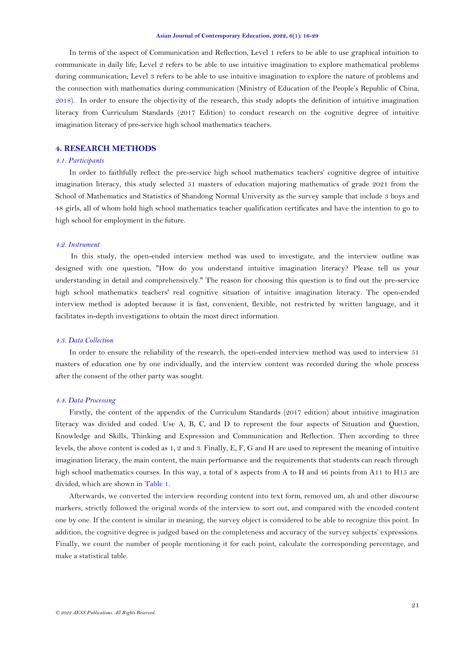In terms of the aspect of Communication and Reflection, Level 1 refers to be able to use graphical intuition to communicate in daily life; Level 2 refers to be able to use intuitive imagination to explore mathematical problems during communication; Level 3 refers to be able to use intuitive imagination to explore the nature of problems and the connection with mathematics during communication ([Ministry of Education of the People's Republic of China,](#page-12-0)  [2018\)](#page-12-0). In order to ensure the objectivity of the research, this study adopts the definition of intuitive imagination literacy from Curriculum Standards (2017 Edition) to conduct research on the cognitive degree of intuitive imagination literacy of pre-service high school mathematics teachers.

# **4. RESEARCH METHODS**

## *4.1. Participants*

In order to faithfully reflect the pre-service high school mathematics teachers' cognitive degree of intuitive imagination literacy, this study selected 51 masters of education majoring mathematics of grade 2021 from the School of Mathematics and Statistics of Shandong Normal University as the survey sample that include 3 boys and 48 girls, all of whom hold high school mathematics teacher qualification certificates and have the intention to go to high school for employment in the future.

### *4.2. Instrument*

In this study, the open-ended interview method was used to investigate, and the interview outline was designed with one question, "How do you understand intuitive imagination literacy? Please tell us your understanding in detail and comprehensively." The reason for choosing this question is to find out the pre-service high school mathematics teachers' real cognitive situation of intuitive imagination literacy. The open-ended interview method is adopted because it is fast, convenient, flexible, not restricted by written language, and it facilitates in-depth investigations to obtain the most direct information.

### *4.3. Data Collection*

In order to ensure the reliability of the research, the open-ended interview method was used to interview 51 masters of education one by one individually, and the interview content was recorded during the whole process after the consent of the other party was sought.

## *4.4. Data Processing*

Firstly, the content of the appendix of the Curriculum Standards (2017 edition) about intuitive imagination literacy was divided and coded. Use A, B, C, and D to represent the four aspects of Situation and Question, Knowledge and Skills, Thinking and Expression and Communication and Reflection. Then according to three levels, the above content is coded as 1, 2 and 3. Finally, E, F, G and H are used to represent the meaning of intuitive imagination literacy, the main content, the main performance and the requirements that students can reach through high school mathematics courses. In this way, a total of 8 aspects from A to H and 46 points from A11 to H15 are divided, which are shown in [Table 1.](#page-6-0)

Afterwards, we converted the interview recording content into text form, removed um, ah and other discourse markers, strictly followed the original words of the interview to sort out, and compared with the encoded content one by one. If the content is similar in meaning, the survey object is considered to be able to recognize this point. In addition, the cognitive degree is judged based on the completeness and accuracy of the survey subjects' expressions. Finally, we count the number of people mentioning it for each point, calculate the corresponding percentage, and make a statistical table.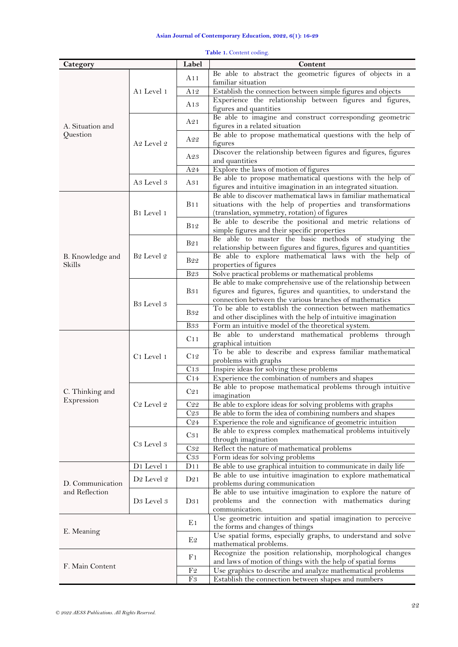<span id="page-6-0"></span>

| Category                   |                                   | Label                   | Content                                                                                                                                                                                   |  |  |  |  |
|----------------------------|-----------------------------------|-------------------------|-------------------------------------------------------------------------------------------------------------------------------------------------------------------------------------------|--|--|--|--|
|                            |                                   | A11                     | Be able to abstract the geometric figures of objects in a<br>familiar situation                                                                                                           |  |  |  |  |
|                            | A <sub>1</sub> Level <sub>1</sub> | A12                     | Establish the connection between simple figures and objects                                                                                                                               |  |  |  |  |
|                            |                                   | A13                     | Experience the relationship between figures and figures,<br>figures and quantities                                                                                                        |  |  |  |  |
| A. Situation and           |                                   | A21                     | Be able to imagine and construct corresponding geometric<br>figures in a related situation                                                                                                |  |  |  |  |
| Question                   | A <sub>2</sub> Level <sub>2</sub> | A22                     | Be able to propose mathematical questions with the help of<br>figures                                                                                                                     |  |  |  |  |
|                            |                                   | A23                     | Discover the relationship between figures and figures, figures<br>and quantities                                                                                                          |  |  |  |  |
|                            |                                   | A24                     | Explore the laws of motion of figures                                                                                                                                                     |  |  |  |  |
|                            | A <sub>3</sub> Level <sub>3</sub> | A31                     | Be able to propose mathematical questions with the help of<br>figures and intuitive imagination in an integrated situation.                                                               |  |  |  |  |
|                            | B <sub>1</sub> Level <sub>1</sub> | <b>B11</b>              | Be able to discover mathematical laws in familiar mathematical<br>situations with the help of properties and transformations<br>(translation, symmetry, rotation) of figures              |  |  |  |  |
|                            |                                   | <b>B</b> 12             | Be able to describe the positional and metric relations of<br>simple figures and their specific properties                                                                                |  |  |  |  |
|                            |                                   | B <sub>2</sub> 1        | Be able to master the basic methods of studying the<br>relationship between figures and figures, figures and quantities                                                                   |  |  |  |  |
| B. Knowledge and<br>Skills | B <sub>2</sub> Level <sub>2</sub> | <b>B22</b>              | Be able to explore mathematical laws with the help of<br>properties of figures                                                                                                            |  |  |  |  |
|                            |                                   | <b>B23</b>              | Solve practical problems or mathematical problems                                                                                                                                         |  |  |  |  |
|                            | B <sub>3</sub> Level <sub>3</sub> | <b>B</b> <sub>3</sub> 1 | Be able to make comprehensive use of the relationship between<br>figures and figures, figures and quantities, to understand the<br>connection between the various branches of mathematics |  |  |  |  |
|                            |                                   | <b>B</b> 32             | To be able to establish the connection between mathematics<br>and other disciplines with the help of intuitive imagination                                                                |  |  |  |  |
|                            |                                   | <b>B</b> 33             | Form an intuitive model of the theoretical system.                                                                                                                                        |  |  |  |  |
|                            |                                   | C <sub>11</sub>         | Be able to understand mathematical problems through<br>graphical intuition                                                                                                                |  |  |  |  |
|                            | C1 Level 1                        | C12                     | To be able to describe and express familiar mathematical<br>problems with graphs                                                                                                          |  |  |  |  |
|                            |                                   | C13                     | Inspire ideas for solving these problems                                                                                                                                                  |  |  |  |  |
|                            |                                   | C14                     | Experience the combination of numbers and shapes                                                                                                                                          |  |  |  |  |
| C. Thinking and            |                                   | C <sub>21</sub>         | Be able to propose mathematical problems through intuitive<br>imagination                                                                                                                 |  |  |  |  |
| Expression                 | C <sub>2</sub> Level 2            | C22                     | Be able to explore ideas for solving problems with graphs                                                                                                                                 |  |  |  |  |
|                            |                                   | C <sub>23</sub>         | Be able to form the idea of combining numbers and shapes                                                                                                                                  |  |  |  |  |
|                            |                                   | C <sub>24</sub>         | Experience the role and significance of geometric intuition                                                                                                                               |  |  |  |  |
|                            | C <sub>3</sub> Level <sub>3</sub> | C31                     | Be able to express complex mathematical problems intuitively<br>through imagination                                                                                                       |  |  |  |  |
|                            |                                   | C32                     | Reflect the nature of mathematical problems                                                                                                                                               |  |  |  |  |
|                            |                                   | C33                     | Form ideas for solving problems                                                                                                                                                           |  |  |  |  |
|                            | D1 Level 1                        | D11                     | Be able to use graphical intuition to communicate in daily life                                                                                                                           |  |  |  |  |
| D. Communication           | D <sub>2</sub> Level <sub>2</sub> | D21                     | Be able to use intuitive imagination to explore mathematical<br>problems during communication                                                                                             |  |  |  |  |
| and Reflection             | D <sub>3</sub> Level <sub>3</sub> | D31                     | Be able to use intuitive imagination to explore the nature of<br>problems and the connection with mathematics during<br>communication.                                                    |  |  |  |  |
| E. Meaning                 |                                   | E1                      | Use geometric intuition and spatial imagination to perceive<br>the forms and changes of things                                                                                            |  |  |  |  |
|                            |                                   | E2                      | Use spatial forms, especially graphs, to understand and solve<br>mathematical problems.                                                                                                   |  |  |  |  |
| F. Main Content            |                                   | F <sub>1</sub>          | Recognize the position relationship, morphological changes<br>and laws of motion of things with the help of spatial forms                                                                 |  |  |  |  |
|                            |                                   | F2                      | Use graphics to describe and analyze mathematical problems                                                                                                                                |  |  |  |  |
|                            |                                   | F <sub>3</sub>          | Establish the connection between shapes and numbers                                                                                                                                       |  |  |  |  |

|  | Table 1. Content coding. |
|--|--------------------------|
|  |                          |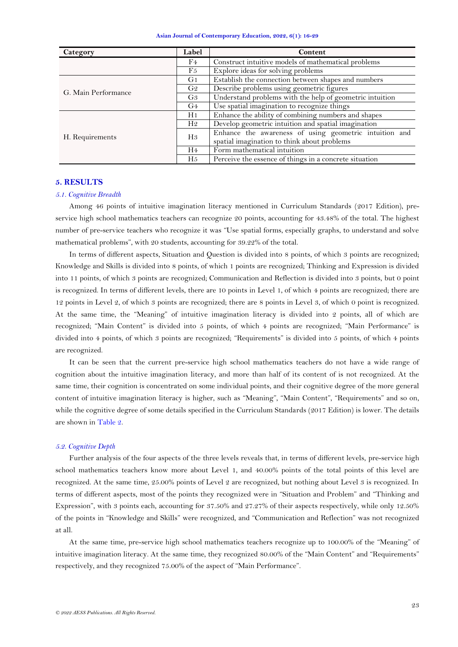| Asian Journal of Contemporary Education, 2022, 6(1): 16-29 |  |  |  |  |  |  |
|------------------------------------------------------------|--|--|--|--|--|--|
|------------------------------------------------------------|--|--|--|--|--|--|

| Category            | Label          | Content                                                  |  |  |  |  |
|---------------------|----------------|----------------------------------------------------------|--|--|--|--|
|                     | F4             | Construct intuitive models of mathematical problems      |  |  |  |  |
|                     | F5             | Explore ideas for solving problems                       |  |  |  |  |
|                     | G1             | Establish the connection between shapes and numbers      |  |  |  |  |
| G. Main Performance | G2             | Describe problems using geometric figures                |  |  |  |  |
|                     | G <sub>3</sub> | Understand problems with the help of geometric intuition |  |  |  |  |
|                     | G <sub>4</sub> | Use spatial imagination to recognize things              |  |  |  |  |
|                     | H <sub>1</sub> | Enhance the ability of combining numbers and shapes      |  |  |  |  |
|                     | H <sub>2</sub> | Develop geometric intuition and spatial imagination      |  |  |  |  |
| H. Requirements     | H <sub>3</sub> | Enhance the awareness of using geometric intuition and   |  |  |  |  |
|                     |                | spatial imagination to think about problems              |  |  |  |  |
|                     | H <sub>4</sub> | Form mathematical intuition                              |  |  |  |  |
|                     | H <sub>5</sub> | Perceive the essence of things in a concrete situation   |  |  |  |  |

# **5. RESULTS**

### *5.1. Cognitive Breadth*

Among 46 points of intuitive imagination literacy mentioned in Curriculum Standards (2017 Edition), preservice high school mathematics teachers can recognize 20 points, accounting for 43.48% of the total. The highest number of pre-service teachers who recognize it was "Use spatial forms, especially graphs, to understand and solve mathematical problems", with 20 students, accounting for 39.22% of the total.

In terms of different aspects, Situation and Question is divided into 8 points, of which 3 points are recognized; Knowledge and Skills is divided into 8 points, of which 1 points are recognized; Thinking and Expression is divided into 11 points, of which 3 points are recognized; Communication and Reflection is divided into 3 points, but 0 point is recognized. In terms of different levels, there are 10 points in Level 1, of which 4 points are recognized; there are 12 points in Level 2, of which 3 points are recognized; there are 8 points in Level 3, of which 0 point is recognized. At the same time, the "Meaning" of intuitive imagination literacy is divided into 2 points, all of which are recognized; "Main Content" is divided into 5 points, of which 4 points are recognized; "Main Performance" is divided into 4 points, of which 3 points are recognized; "Requirements" is divided into 5 points, of which 4 points are recognized.

It can be seen that the current pre-service high school mathematics teachers do not have a wide range of cognition about the intuitive imagination literacy, and more than half of its content of is not recognized. At the same time, their cognition is concentrated on some individual points, and their cognitive degree of the more general content of intuitive imagination literacy is higher, such as "Meaning", "Main Content", "Requirements" and so on, while the cognitive degree of some details specified in the Curriculum Standards (2017 Edition) is lower. The details are shown in [Table 2.](#page-8-0)

## *5.2. Cognitive Depth*

Further analysis of the four aspects of the three levels reveals that, in terms of different levels, pre-service high school mathematics teachers know more about Level 1, and 40.00% points of the total points of this level are recognized. At the same time, 25.00% points of Level 2 are recognized, but nothing about Level 3 is recognized. In terms of different aspects, most of the points they recognized were in "Situation and Problem" and "Thinking and Expression", with 3 points each, accounting for 37.50% and 27.27% of their aspects respectively, while only 12.50% of the points in "Knowledge and Skills" were recognized, and "Communication and Reflection" was not recognized at all.

At the same time, pre-service high school mathematics teachers recognize up to 100.00% of the "Meaning" of intuitive imagination literacy. At the same time, they recognized 80.00% of the "Main Content" and "Requirements" respectively, and they recognized 75.00% of the aspect of "Main Performance".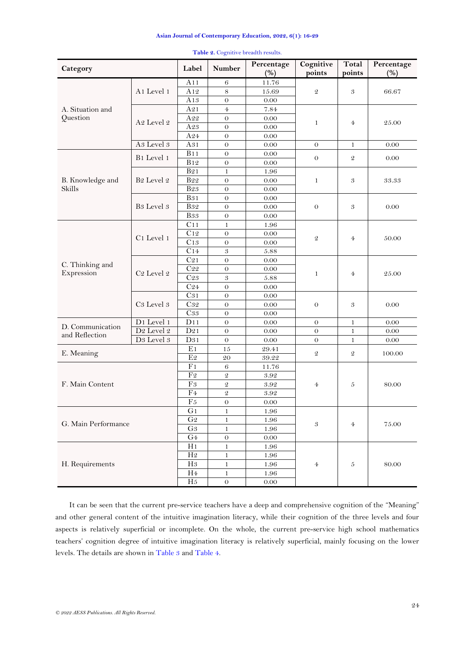<span id="page-8-0"></span>

| Category            |                                   | Label           | <b>Number</b>              | Percentage<br>(%) | Cognitive<br>points        | <b>Total</b><br>points | Percentage<br>(%) |
|---------------------|-----------------------------------|-----------------|----------------------------|-------------------|----------------------------|------------------------|-------------------|
|                     | A1 Level 1                        | A11             | 6                          | 11.76             | $\mathfrak{D}$             | 3                      |                   |
|                     |                                   | A <sub>12</sub> | $8\,$                      | 15.69             |                            |                        | 66.67             |
|                     |                                   | A13             | $\theta$                   | $0.00\,$          |                            |                        |                   |
| A. Situation and    |                                   | A21             | $\overline{4}$             | 7.84              |                            |                        |                   |
| Question            | A <sub>2</sub> Level <sub>2</sub> | $\rm A22$       | $\theta$                   | 0.00              | $\mathbf{1}$               | $\overline{4}$         | 25.00             |
|                     |                                   | A23             | $\theta$                   | 0.00              |                            |                        |                   |
|                     |                                   | A24             | $\theta$                   | 0.00              |                            |                        |                   |
|                     | A <sub>3</sub> Level <sub>3</sub> | A31             | $\theta$                   | 0.00              | $\theta$                   | 1                      | 0.00              |
|                     | B1 Level 1                        | B11             | $\theta$                   | $0.00\,$          | $\theta$                   | $\mathcal{Q}$          | 0.00              |
|                     |                                   | <b>B12</b>      | $\theta$                   | $0.00\,$          |                            |                        |                   |
|                     |                                   | <b>B21</b>      | $\mathbf{1}$               | 1.96              |                            |                        |                   |
| B. Knowledge and    | B <sub>2</sub> Level <sub>2</sub> | <b>B22</b>      | $\theta$                   | $0.00\,$          | $\mathbf{1}$               | 3                      | 33.33             |
| <b>Skills</b>       |                                   | <b>B23</b>      | $\theta$                   | 0.00              |                            |                        |                   |
|                     |                                   | <b>B31</b>      | $\theta$                   | 0.00              |                            |                        |                   |
|                     | B <sub>3</sub> Level <sub>3</sub> | <b>B</b> 32     | $\theta$                   | $0.00\,$          | $\theta$                   | 3                      | 0.00              |
|                     |                                   | $_{\rm B33}$    | $\theta$                   | $0.00\,$          |                            |                        |                   |
|                     |                                   | C11             | $\mathbf{1}$               | 1.96              |                            |                        | 50.00             |
|                     | C <sub>1</sub> Level 1            | C12             | $\theta$                   | $0.00\,$          | $\mathfrak{D}$             |                        |                   |
|                     |                                   | C13             | $\theta$                   | 0.00              |                            | $\overline{4}$         |                   |
|                     |                                   | C14             | $\boldsymbol{\mathcal{S}}$ | 5.88              |                            |                        |                   |
| C. Thinking and     | C <sub>2</sub> Level <sub>2</sub> | C <sub>21</sub> | $\theta$                   | 0.00              | $\mathbf{1}$               | $\overline{4}$         | 25.00             |
| Expression          |                                   | $\rm{C}22$      | $\theta$                   | $0.00\,$          |                            |                        |                   |
|                     |                                   | C23             | 3                          | 5.88              |                            |                        |                   |
|                     |                                   | C <sub>24</sub> | $\theta$                   | $0.00\,$          |                            |                        |                   |
|                     |                                   | C31             | $\theta$                   | $0.00\,$          | $\Omega$                   | 3                      | 0.00              |
|                     | C <sub>3</sub> Level <sub>3</sub> | C32             | $\theta$                   | $0.00\,$          |                            |                        |                   |
|                     |                                   | C33             | $\theta$                   | 0.00              |                            |                        |                   |
| D. Communication    | D1 Level 1                        | D11             | $\theta$                   | 0.00              | $\theta$                   | 1                      | $0.00\,$          |
| and Reflection      | D2 Level $\it 2$                  | D21             | $\theta$                   | 0.00              | $\theta$                   | $\mathbf{1}$           | 0.00              |
|                     | $\overline{D3}$ Level 3           | D31             | $\theta$                   | $0.00\,$          | $\Omega$                   | 1                      | 0.00              |
| E. Meaning          |                                   | E <sub>1</sub>  | 15                         | 29.41             | $\mathfrak{D}$             | 2                      | 100.00            |
|                     |                                   | E <sub>2</sub>  | 20                         | $39.22\,$         |                            |                        |                   |
|                     |                                   | F <sub>1</sub>  | 6                          | 11.76             |                            |                        |                   |
|                     |                                   | F <sub>2</sub>  | $\mathfrak{D}$             | 3.92              | 4                          | 5                      | 80.00             |
| F. Main Content     |                                   | F3              | $\mathfrak{D}$             | 3.92              |                            |                        |                   |
|                     |                                   | F <sub>4</sub>  | $\mathfrak{D}$             | 3.92              |                            |                        |                   |
|                     |                                   | ${\rm F}5$      | $\mathbf 0$                | $0.00\,$          |                            |                        |                   |
| G. Main Performance |                                   | G <sub>1</sub>  | $\mathbf{1}$               | 1.96              |                            |                        |                   |
|                     |                                   | ${\rm G}2$      | $\mathbf{1}$               | $1.96\,$          | $\boldsymbol{\mathcal{S}}$ | $\overline{4}$         | 75.00             |
|                     |                                   | G <sub>3</sub>  | $\mathbf{1}$               | 1.96              |                            |                        |                   |
|                     |                                   | G4              | $\boldsymbol{0}$           | $0.00\,$          |                            |                        |                   |
|                     |                                   | H1              | $\mathbf{1}$               | 1.96              |                            |                        |                   |
|                     |                                   | $\rm H2$        | $\mathbf{1}$               | 1.96              |                            |                        |                   |
| H. Requirements     |                                   | H3              | $\mathbf{1}$               | $1.96\,$          | $\overline{4}$             | $\boldsymbol{5}$       | 80.00             |
|                     |                                   | H <sub>4</sub>  | 1                          | 1.96              |                            |                        |                   |
|                     |                                   | H5              | $\boldsymbol{0}$           | $0.00\,$          |                            |                        |                   |

Table 2. Cognitive breadth results.

It can be seen that the current pre-service teachers have a deep and comprehensive cognition of the "Meaning" and other general content of the intuitive imagination literacy, while their cognition of the three levels and four aspects is relatively superficial or incomplete. On the whole, the current pre-service high school mathematics teachers' cognition degree of intuitive imagination literacy is relatively superficial, mainly focusing on the lower levels. The details are shown i[n Table 3](#page-9-0) an[d Table 4.](#page-9-1)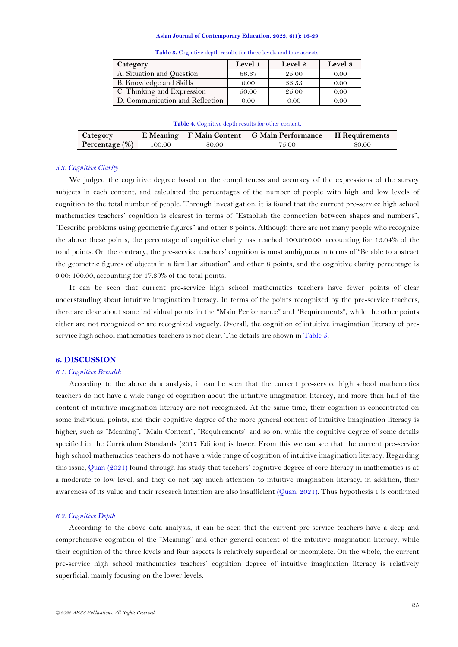<span id="page-9-0"></span>

| Category                        | Level 1  | Level 2 | Level 3 |  |  |
|---------------------------------|----------|---------|---------|--|--|
| A. Situation and Question       | 66.67    | 25.00   | 0.00    |  |  |
| B. Knowledge and Skills         | 0.00     | 33.33   | 0.00    |  |  |
| C. Thinking and Expression      | 50.00    | 25.00   | 0.00    |  |  |
| D. Communication and Reflection | $0.00\,$ | 0.00    | 0.00    |  |  |

**Table 3.** Cognitive depth results for three levels and four aspects.

#### **Table 4.** Cognitive depth results for other content.

<span id="page-9-1"></span>

| Category       | E Meaning |       | F Main Content   G Main Performance | H Requirements |  |
|----------------|-----------|-------|-------------------------------------|----------------|--|
| Percentage (%) | 00.00     | 80.00 | 75.00                               | 80.00          |  |

## *5.3. Cognitive Clarity*

We judged the cognitive degree based on the completeness and accuracy of the expressions of the survey subjects in each content, and calculated the percentages of the number of people with high and low levels of cognition to the total number of people. Through investigation, it is found that the current pre-service high school mathematics teachers' cognition is clearest in terms of "Establish the connection between shapes and numbers", "Describe problems using geometric figures" and other 6 points. Although there are not many people who recognize the above these points, the percentage of cognitive clarity has reached 100.00:0.00, accounting for 13.04% of the total points. On the contrary, the pre-service teachers' cognition is most ambiguous in terms of "Be able to abstract the geometric figures of objects in a familiar situation" and other 8 points, and the cognitive clarity percentage is 0.00: 100.00, accounting for 17.39% of the total points.

It can be seen that current pre-service high school mathematics teachers have fewer points of clear understanding about intuitive imagination literacy. In terms of the points recognized by the pre-service teachers, there are clear about some individual points in the "Main Performance" and "Requirements", while the other points either are not recognized or are recognized vaguely. Overall, the cognition of intuitive imagination literacy of preservice high school mathematics teachers is not clear. The details are shown i[n Table 5.](#page-10-0)

# **6. DISCUSSION**

#### *6.1. Cognitive Breadth*

According to the above data analysis, it can be seen that the current pre-service high school mathematics teachers do not have a wide range of cognition about the intuitive imagination literacy, and more than half of the content of intuitive imagination literacy are not recognized. At the same time, their cognition is concentrated on some individual points, and their cognitive degree of the more general content of intuitive imagination literacy is higher, such as "Meaning", "Main Content", "Requirements" and so on, while the cognitive degree of some details specified in the Curriculum Standards (2017 Edition) is lower. From this we can see that the current pre-service high school mathematics teachers do not have a wide range of cognition of intuitive imagination literacy. Regarding this issue, Quan [\(2021\)](#page-12-19) found through his study that teachers' cognitive degree of core literacy in mathematics is at a moderate to low level, and they do not pay much attention to intuitive imagination literacy, in addition, their awareness of its value and their research intention are also insufficient [\(Quan, 2021\)](#page-12-19). Thus hypothesis 1 is confirmed.

# *6.2. Cognitive Depth*

According to the above data analysis, it can be seen that the current pre-service teachers have a deep and comprehensive cognition of the "Meaning" and other general content of the intuitive imagination literacy, while their cognition of the three levels and four aspects is relatively superficial or incomplete. On the whole, the current pre-service high school mathematics teachers' cognition degree of intuitive imagination literacy is relatively superficial, mainly focusing on the lower levels.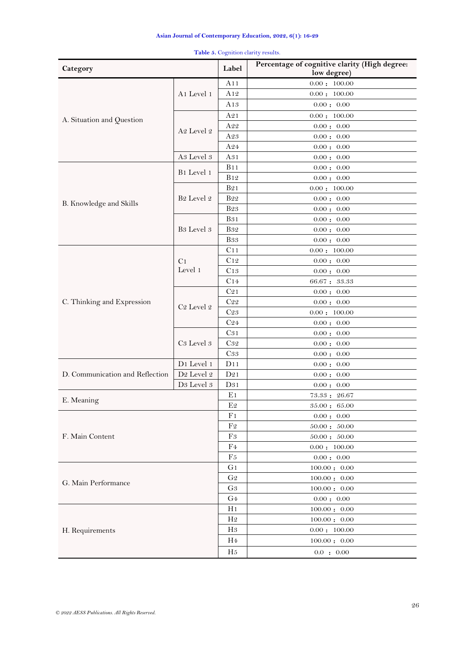<span id="page-10-0"></span>

| Category                        |                                   |                     | Percentage of cognitive clarity (High degree:<br>low degree) |
|---------------------------------|-----------------------------------|---------------------|--------------------------------------------------------------|
|                                 |                                   | A11                 | 0.00:100.00                                                  |
|                                 | A <sub>1</sub> Level <sub>1</sub> | A12                 | 0.00:100.00                                                  |
|                                 |                                   | A13                 | $0.00$ : $\,0.00$                                            |
|                                 |                                   | A21                 | 0.00:100.00                                                  |
| A. Situation and Question       |                                   | A22                 | 0.00: 0.00                                                   |
|                                 | A <sub>2</sub> Level <sub>2</sub> | A23                 | 0.00: 0.00                                                   |
|                                 |                                   | A24                 | 0.00 : 0.00                                                  |
|                                 | A3 Level 3                        | A31                 | 0.00 : 0.00                                                  |
|                                 | B1 Level 1                        | <b>B</b> 11         | 0.00 : 0.00                                                  |
|                                 |                                   | <b>B</b> 12         | 0.00: 0.00                                                   |
|                                 |                                   | <b>B21</b>          | 0.00:100.00                                                  |
|                                 | B <sub>2</sub> Level <sub>2</sub> | <b>B22</b>          | 0.00: 0.00                                                   |
| B. Knowledge and Skills         |                                   | <b>B23</b>          | 0.00 : 0.00                                                  |
|                                 |                                   | <b>B31</b>          | 0.00 : 0.00                                                  |
|                                 | B <sub>3</sub> Level <sub>3</sub> | <b>B32</b>          | $0.00\div\,0.00$                                             |
|                                 |                                   | <b>B33</b>          | 0.00 : 0.00                                                  |
|                                 |                                   | C11                 | 0.00:100.00                                                  |
|                                 | C <sub>1</sub>                    | C12                 | $0.00$ : $\,0.00$                                            |
|                                 | Level 1                           | C13                 | $0.00\div\,0.00$                                             |
|                                 |                                   | C14                 | 66.67:33.33                                                  |
|                                 |                                   | C21                 | 0.00: 0.00                                                   |
| C. Thinking and Expression      |                                   | C <sub>22</sub>     | 0.00 : 0.00                                                  |
|                                 | C <sub>2</sub> Level <sub>2</sub> | C <sub>23</sub>     | 0.00:100.00                                                  |
|                                 |                                   | C <sub>24</sub>     | 0.00: 0.00                                                   |
|                                 |                                   | C31                 | 0.00: 0.00                                                   |
|                                 | C <sub>3</sub> Level <sub>3</sub> | C32                 | 0.00: 0.00                                                   |
|                                 |                                   | C33                 | 0.00 : 0.00                                                  |
|                                 | D1 Level 1                        | D11                 | $0.00\div\,0.00$                                             |
| D. Communication and Reflection | D2 Level $\it 2$                  | D21                 | 0.00 : 0.00                                                  |
|                                 | D <sub>3</sub> Level <sub>3</sub> | D31                 | 0.00: 0.00                                                   |
| E. Meaning                      |                                   | E1                  | 73.33:26.67                                                  |
|                                 |                                   | $\mathop{\rm E{2}}$ | 35.00 : 65.00                                                |
|                                 |                                   | F <sub>1</sub>      | 0.00 : 0.00                                                  |
|                                 |                                   | F2                  | 50.00:50.00                                                  |
| F. Main Content                 |                                   | F3                  | 50.00:50.00                                                  |
|                                 |                                   | F4                  | 0.00:100.00                                                  |
|                                 |                                   |                     | 0.00 : 0.00                                                  |
|                                 |                                   | G <sub>1</sub>      | 100.00:0.00                                                  |
| G. Main Performance             |                                   |                     | 100.00:0.00                                                  |
|                                 |                                   |                     | 100.00:0.00                                                  |
|                                 |                                   |                     | 0.00 : 0.00                                                  |
| H. Requirements                 |                                   |                     | 100.00:0.00                                                  |
|                                 |                                   |                     | 100.00:0.00                                                  |
|                                 |                                   |                     | 0.00:100.00                                                  |
|                                 |                                   |                     | 100.00:0.00                                                  |
|                                 |                                   | H <sub>5</sub>      | $0.0\;$ : $\;0.00$                                           |
|                                 |                                   |                     |                                                              |

Table 5. Cognition clarity results.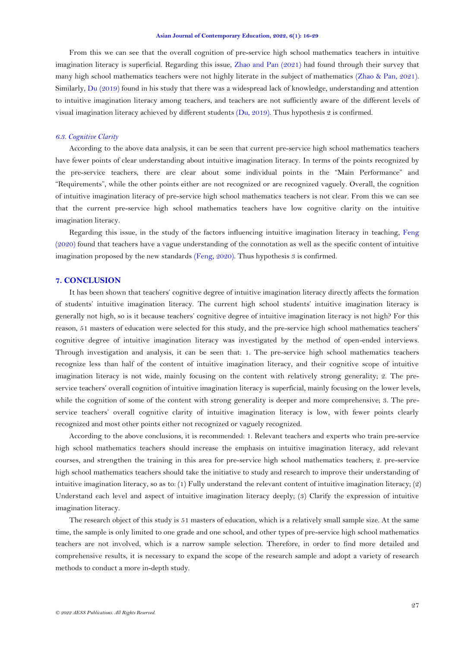From this we can see that the overall cognition of pre-service high school mathematics teachers in intuitive imagination literacy is superficial. Regarding this issue, [Zhao and Pan \(2021\)](#page-13-5) had found through their survey that many high school mathematics teachers were not highly literate in the subject of mathematics [\(Zhao & Pan, 2021\)](#page-13-5). Similarly, [Du \(2019\)](#page-12-1) found in his study that there was a widespread lack of knowledge, understanding and attention to intuitive imagination literacy among teachers, and teachers are not sufficiently aware of the different levels of visual imagination literacy achieved by different students (Du, [2019\)](#page-12-1). Thus hypothesis 2 is confirmed.

#### *6.3. Cognitive Clarity*

According to the above data analysis, it can be seen that current pre-service high school mathematics teachers have fewer points of clear understanding about intuitive imagination literacy. In terms of the points recognized by the pre-service teachers, there are clear about some individual points in the "Main Performance" and "Requirements", while the other points either are not recognized or are recognized vaguely. Overall, the cognition of intuitive imagination literacy of pre-service high school mathematics teachers is not clear. From this we can see that the current pre-service high school mathematics teachers have low cognitive clarity on the intuitive imagination literacy.

Regarding this issue, in the study of the factors influencing intuitive imagination literacy in teaching, [Feng](#page-12-20)  [\(2020\)](#page-12-20) found that teachers have a vague understanding of the connotation as well as the specific content of intuitive imagination proposed by the new standards [\(Feng, 2020\)](#page-12-20). Thus hypothesis 3 is confirmed.

## **7. CONCLUSION**

It has been shown that teachers' cognitive degree of intuitive imagination literacy directly affects the formation of students' intuitive imagination literacy. The current high school students' intuitive imagination literacy is generally not high, so is it because teachers' cognitive degree of intuitive imagination literacy is not high? For this reason, 51 masters of education were selected for this study, and the pre-service high school mathematics teachers' cognitive degree of intuitive imagination literacy was investigated by the method of open-ended interviews. Through investigation and analysis, it can be seen that: 1. The pre-service high school mathematics teachers recognize less than half of the content of intuitive imagination literacy, and their cognitive scope of intuitive imagination literacy is not wide, mainly focusing on the content with relatively strong generality; 2. The preservice teachers' overall cognition of intuitive imagination literacy is superficial, mainly focusing on the lower levels, while the cognition of some of the content with strong generality is deeper and more comprehensive; 3. The preservice teachers' overall cognitive clarity of intuitive imagination literacy is low, with fewer points clearly recognized and most other points either not recognized or vaguely recognized.

According to the above conclusions, it is recommended: 1. Relevant teachers and experts who train pre-service high school mathematics teachers should increase the emphasis on intuitive imagination literacy, add relevant courses, and strengthen the training in this area for pre-service high school mathematics teachers; 2. pre-service high school mathematics teachers should take the initiative to study and research to improve their understanding of intuitive imagination literacy, so as to: (1) Fully understand the relevant content of intuitive imagination literacy; (2) Understand each level and aspect of intuitive imagination literacy deeply; (3) Clarify the expression of intuitive imagination literacy.

The research object of this study is 51 masters of education, which is a relatively small sample size. At the same time, the sample is only limited to one grade and one school, and other types of pre-service high school mathematics teachers are not involved, which is a narrow sample selection. Therefore, in order to find more detailed and comprehensive results, it is necessary to expand the scope of the research sample and adopt a variety of research methods to conduct a more in-depth study.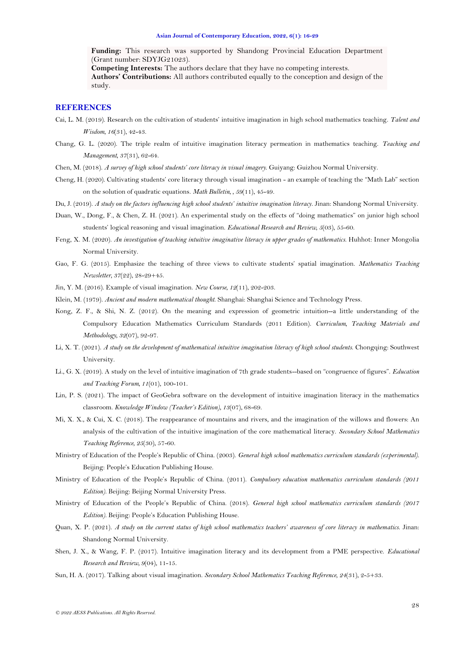**Funding:** This research was supported by Shandong Provincial Education Department (Grant number: SDYJG21023).

**Competing Interests:** The authors declare that they have no competing interests. **Authors' Contributions:** All authors contributed equally to the conception and design of the study.

# **REFERENCES**

- <span id="page-12-10"></span>Cai, L. M. (2019). Research on the cultivation of students' intuitive imagination in high school mathematics teaching. *Talent and Wisdom, 16*(31), 42-43.
- <span id="page-12-7"></span>Chang, G. L. (2020). The triple realm of intuitive imagination literacy permeation in mathematics teaching. *Teaching and Management, 37*(31), 62-64.
- <span id="page-12-2"></span>Chen, M. (2018). *A survey of high school students' core literacy in visual imagery*. Guiyang: Guizhou Normal University.
- <span id="page-12-6"></span>Cheng, H. (2020). Cultivating students' core literacy through visual imagination - an example of teaching the "Math Lab" section on the solution of quadratic equations. *Math Bulletin, , 59*(11), 45-49.
- <span id="page-12-1"></span>Du, J. (2019). *A study on the factors influencing high school students' intuitive imagination literacy*. Jinan: Shandong Normal University.
- <span id="page-12-4"></span>Duan, W., Dong, F., & Chen, Z. H. (2021). An experimental study on the effects of "doing mathematics" on junior high school students' logical reasoning and visual imagination. *Educational Research and Review, 5*(03), 55-60.
- <span id="page-12-20"></span>Feng, X. M. (2020). *An investigation of teaching intuitive imaginative literacy in upper grades of mathematics*. Huhhot: Inner Mongolia Normal University.
- <span id="page-12-11"></span>Gao, F. G. (2015). Emphasize the teaching of three views to cultivate students' spatial imagination. *Mathematics Teaching Newsletter, 37*(22), 28-29+45.
- <span id="page-12-9"></span>Jin, Y. M. (2016). Example of visual imagination. *New Course, 12*(11), 202-203.
- <span id="page-12-13"></span>Klein, M. (1979). *Ancient and modern mathematical thought*. Shanghai: Shanghai Science and Technology Press.
- <span id="page-12-15"></span>Kong, Z. F., & Shi, N. Z. (2012). On the meaning and expression of geometric intuition--a little understanding of the Compulsory Education Mathematics Curriculum Standards (2011 Edition). *Curriculum, Teaching Materials and Methodology, 32*(07), 92-97.
- <span id="page-12-3"></span>Li, X. T. (2021). *A study on the development of mathematical intuitive imagination literacy of high school students*. Chongqing: Southwest University.
- <span id="page-12-12"></span>Li., G. X. (2019). A study on the level of intuitive imagination of 7th grade students--based on "congruence of figures". *Education and Teaching Forum, 11*(01), 100-101.
- <span id="page-12-5"></span>Lin, P. S. (2021). The impact of GeoGebra software on the development of intuitive imagination literacy in the mathematics classroom. *Knowledge Window (Teacher's Edition), 13*(07), 68-69.
- <span id="page-12-18"></span>Mi, X. X., & Cui, X. C. (2018). The reappearance of mountains and rivers, and the imagination of the willows and flowers: An analysis of the cultivation of the intuitive imagination of the core mathematical literacy. *Secondary School Mathematics Teaching Reference, 25*(30), 57-60.
- <span id="page-12-16"></span>Ministry of Education of the People's Republic of China. (2003). *General high school mathematics curriculum standards (experimental)*. Beijing: People's Education Publishing House.
- <span id="page-12-14"></span>Ministry of Education of the People's Republic of China. (2011). *Compulsory education mathematics curriculum standards (2011 Edition)*. Beijing: Beijing Normal University Press.
- <span id="page-12-0"></span>Ministry of Education of the People's Republic of China. (2018). *General high school mathematics curriculum standards (2017 Edition)*. Beijing: People's Education Publishing House.
- <span id="page-12-19"></span>Quan, X. P. (2021). *A study on the current status of high school mathematics teachers' awareness of core literacy in mathematics*. Jinan: Shandong Normal University.
- <span id="page-12-8"></span>Shen, J. X., & Wang, F. P. (2017). Intuitive imagination literacy and its development from a PME perspective. *Educational Research and Review, 9*(04), 11-15.
- <span id="page-12-17"></span>Sun, H. A. (2017). Talking about visual imagination. *Secondary School Mathematics Teaching Reference, 24*(31), 2-5+33.